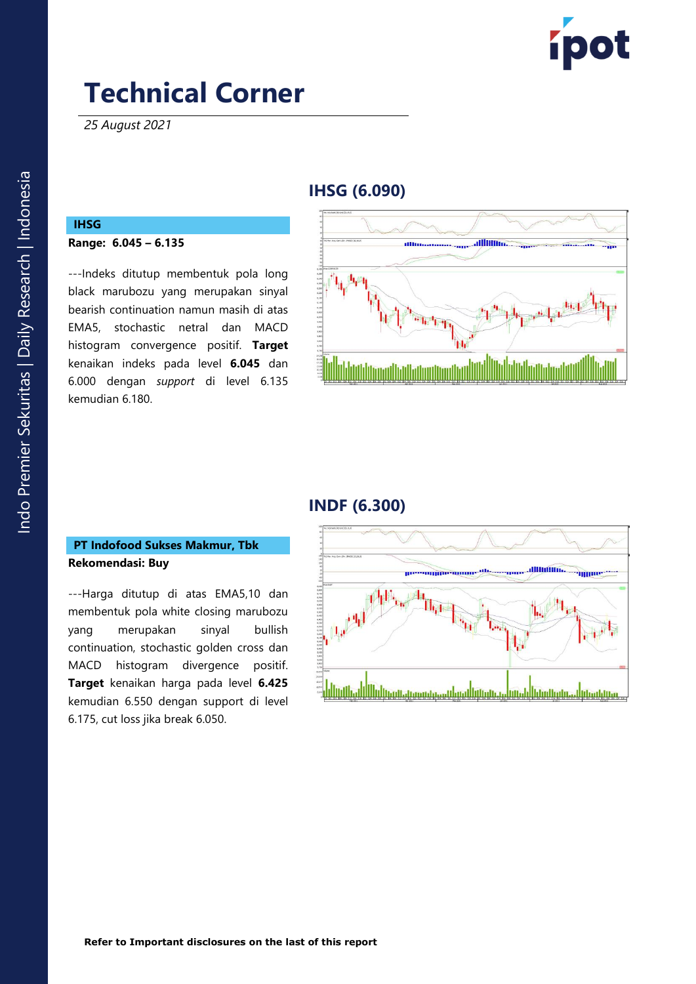

*25 August 2021*

## **IHSG ( 6 .090 )**

## **IHSG**

#### **Range: 6 . 045 – 6. 135**

---Indeks ditutup membentuk pola long black marubozu yang merupakan sinyal bearish continuation namun masih di atas EMA5, stochastic netral dan MACD histogram convergence positif. **Target** kenaikan indeks pada level **6 . 045** dan 6. 000 dengan *support* di level 6 . 135 kemudian 6. 1 8 0 .



## **INDF ( 6 .30 0 )**

### **PT Indofood Sukses Makmur, Tbk Rekomendasi: Buy**

---Harga ditutup di atas EMA5,10 dan membentuk pola white closing marubozu yang merupakan sinyal bullish continuation, stochastic golden cross dan MACD histogram divergence positif. **Target** kenaikan harga pada level **6.425** kemudian 6.550 dengan support di level 6.175, cut loss jika break 6.050 .

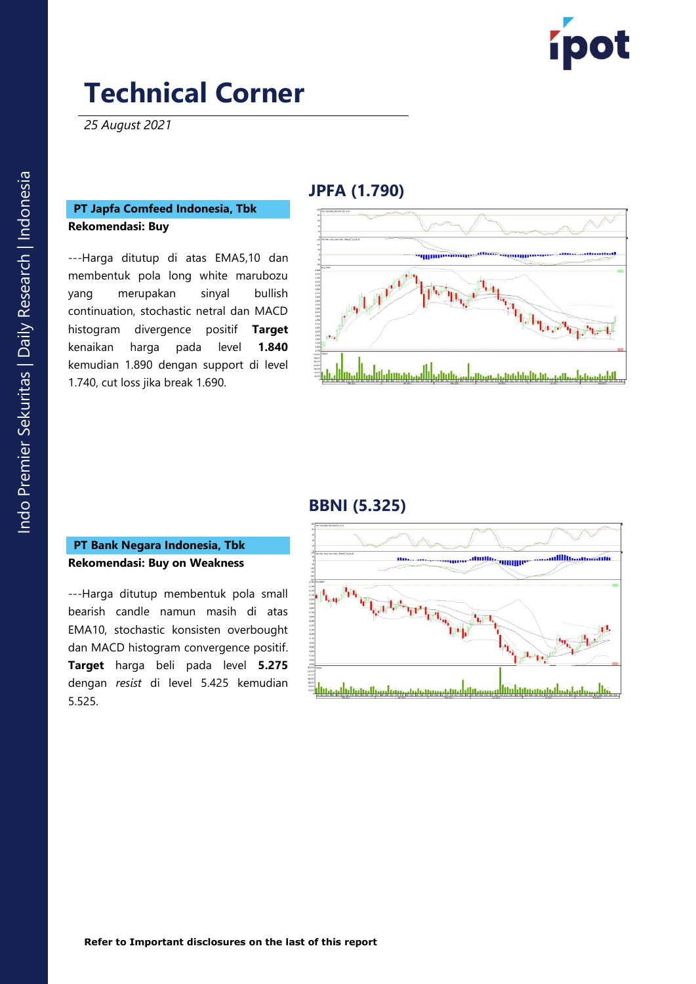

*25 August 2021*

#### **PT Japfa Comfeed Indonesia, Tbk Rekomendasi: Buy**

---Harga ditutup di atas EMA5,10 dan membentuk pola long white marubozu yang merupakan sinyal bullish continuation, stochastic netral dan MACD histogram divergence positif **Target** kenaikan harga pada level **0** kemudian 1. 890 dengan support di level 1.740, cut loss jika break 1.690.

### **JPFA ( 1 .79 0 )**



### **BBNI ( 5 . 3 2 5 )**

#### **PT Bank Negara Indonesia, Tbk Rekomendasi: Buy on Weakness**

---Harga ditutup membentuk pola small bearish candle namun masih di atas EMA10, stochastic konsisten overbought dan MACD histogram convergence positif. **Target** harga beli pada level **5.275** dengan *resist* di level 5.425 kemudian 5.525 .

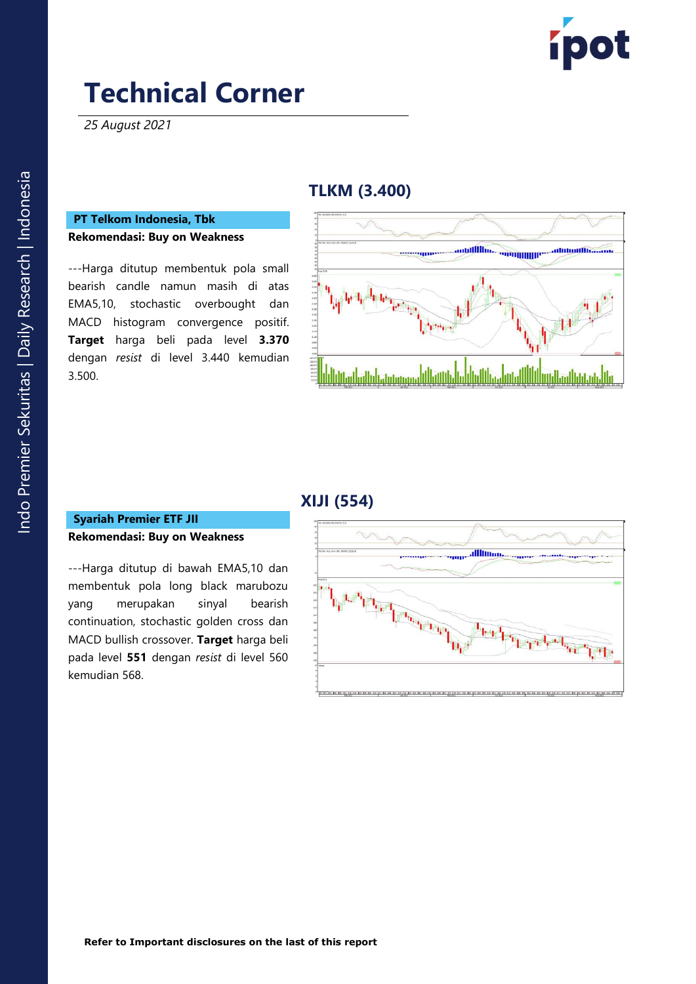

*25 August 2021*

## **TLKM (3.400 )**

#### **PT Telkom Indonesia, Tbk Rekomendasi: Buy on Weakness**

---Harga ditutup membentuk pola small bearish candle namun masih di atas EMA5,10, stochastic overbought dan MACD histogram convergence positif . **Target** harga beli pada level **3.370** dengan *resist* di level 3.440 kemudian 3.500 .



### **XIJI (554)**

#### **Syariah Premier ETF JII Rekomendasi: Buy on Weakness**

---Harga ditutup di bawah EMA5,10 dan membentuk pola long black marubozu yang merupakan sinyal bearish continuation, stochastic golden cross dan MACD bullish crossover . **Target** harga beli pada level **551** dengan *resist* di level 560 kemudian 568.

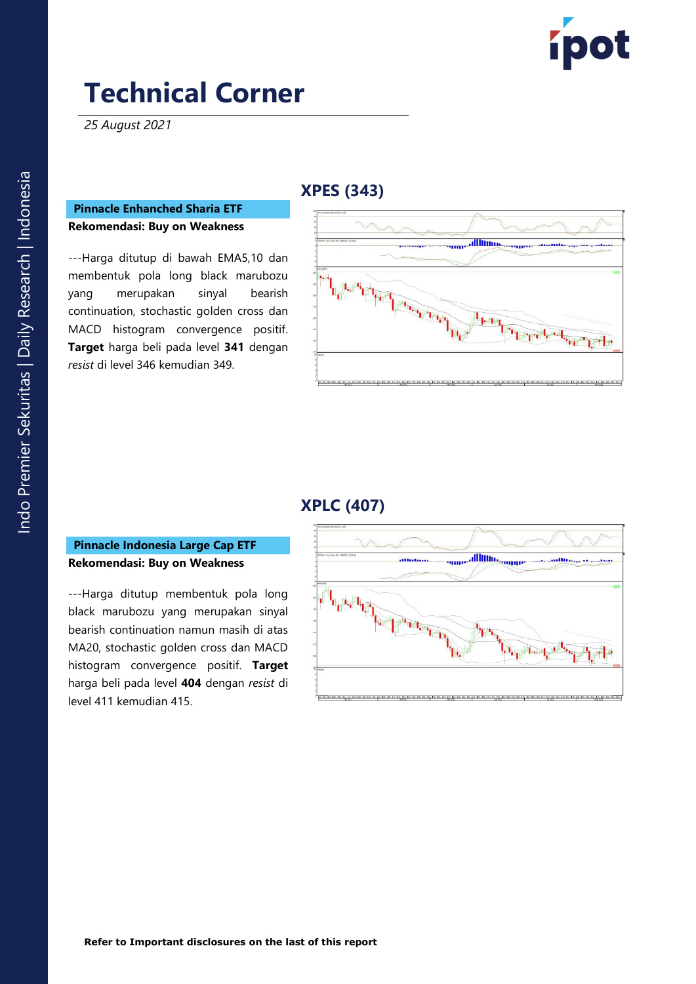

*25 August 2021*

## **XPES (343 )**

#### **Pinnacle Enhanched Sharia ETF Rekomendasi: Buy on Weakness**

---Harga ditutup di bawah EMA5,10 dan membentuk pola long black marubozu yang merupakan sinyal bearish continuation, stochastic golden cross dan MACD histogram convergence positif. **Target** harga beli pada level **341** dengan *resist* di level 346 kemudian 349.



## **XPLC (407)**

### **Pinnacle Indonesia Large Cap ETF Rekomendasi: Buy on Weakness**

---Harga ditutup membentuk pola long black marubozu yang merupakan sinyal bearish continuation namun masih di atas MA20, stochastic golden cross dan MACD histogram convergence positif. **Target**  harga beli pada level **404** dengan *resist* di level 411 kemudian 415 .